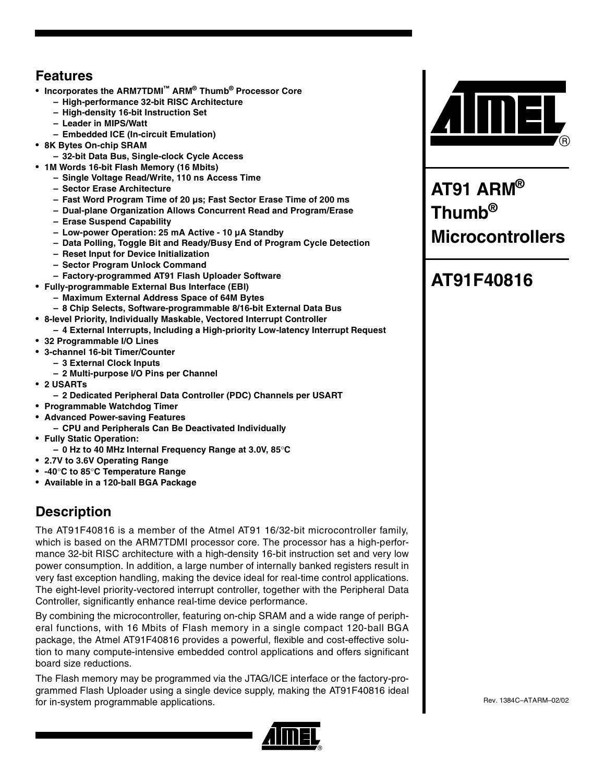### **Features**

- **Incorporates the ARM7TDMI™ ARM® Thumb® Processor Core**
	- **High-performance 32-bit RISC Architecture**
	- **High-density 16-bit Instruction Set**
	- **Leader in MIPS/Watt**
	- **Embedded ICE (In-circuit Emulation)**
- **8K Bytes On-chip SRAM**
	- **32-bit Data Bus, Single-clock Cycle Access**
- **1M Words 16-bit Flash Memory (16 Mbits)**
	- **Single Voltage Read/Write, 110 ns Access Time**
	- **Sector Erase Architecture**
	- **Fast Word Program Time of 20 µs; Fast Sector Erase Time of 200 ms**
	- **Dual-plane Organization Allows Concurrent Read and Program/Erase**
	- **Erase Suspend Capability**
	- **Low-power Operation: 25 mA Active 10 µA Standby**
	- **Data Polling, Toggle Bit and Ready/Busy End of Program Cycle Detection**
	- **Reset Input for Device Initialization**
	- **Sector Program Unlock Command**
	- **Factory-programmed AT91 Flash Uploader Software**
- **Fully-programmable External Bus Interface (EBI)**
	- **Maximum External Address Space of 64M Bytes**
- **8 Chip Selects, Software-programmable 8/16-bit External Data Bus**
- **8-level Priority, Individually Maskable, Vectored Interrupt Controller**
- **4 External Interrupts, Including a High-priority Low-latency Interrupt Request**
- **32 Programmable I/O Lines**
- **3-channel 16-bit Timer/Counter**
	- **3 External Clock Inputs**
	- **2 Multi-purpose I/O Pins per Channel**
- **2 USARTs**
	- **2 Dedicated Peripheral Data Controller (PDC) Channels per USART**
- **Programmable Watchdog Timer**
- **Advanced Power-saving Features**
	- **CPU and Peripherals Can Be Deactivated Individually**
- **Fully Static Operation:**
	- **0 Hz to 40 MHz Internal Frequency Range at 3.0V, 85**°**C**
- **2.7V to 3.6V Operating Range**
- **-40**°**C to 85**°**C Temperature Range**
- **Available in a 120-ball BGA Package**

### **Description**

The AT91F40816 is a member of the Atmel AT91 16/32-bit microcontroller family, which is based on the ARM7TDMI processor core. The processor has a high-performance 32-bit RISC architecture with a high-density 16-bit instruction set and very low power consumption. In addition, a large number of internally banked registers result in very fast exception handling, making the device ideal for real-time control applications. The eight-level priority-vectored interrupt controller, together with the Peripheral Data Controller, significantly enhance real-time device performance.

By combining the microcontroller, featuring on-chip SRAM and a wide range of peripheral functions, with 16 Mbits of Flash memory in a single compact 120-ball BGA package, the Atmel AT91F40816 provides a powerful, flexible and cost-effective solution to many compute-intensive embedded control applications and offers significant board size reductions.

The Flash memory may be programmed via the JTAG/ICE interface or the factory-programmed Flash Uploader using a single device supply, making the AT91F40816 ideal for in-system programmable applications.





**AT91 ARM® Thumb® Microcontrollers**

### **AT91F40816**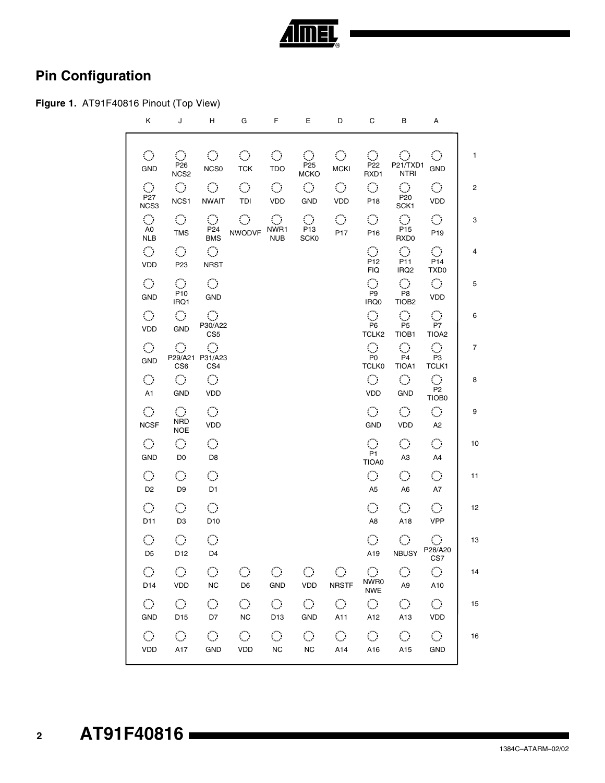

### **Pin Configuration**

### **Figure 1.** AT91F40816 Pinout (Top View)

| Κ                                                      | J                                                                | H                                                         | G                                                  | F.                                         | Е                                                            | D                                          | С                                                            | В                                                      | А                                              |                |
|--------------------------------------------------------|------------------------------------------------------------------|-----------------------------------------------------------|----------------------------------------------------|--------------------------------------------|--------------------------------------------------------------|--------------------------------------------|--------------------------------------------------------------|--------------------------------------------------------|------------------------------------------------|----------------|
| $\mathcal{L}_{\mathcal{A}}$<br>GND                     | $\mathcal{O}_\mathcal{A}$<br>P <sub>26</sub><br>NCS <sub>2</sub> | <b>COLL</b><br>NCS0                                       | $\mathcal{L}_{\mathrm{max}}$<br><b>TCK</b>         | $\mathcal{L}_{\mathcal{A}}$<br><b>TDO</b>  | $\mathcal{L}_{\text{max}}$<br>P <sub>25</sub><br><b>MCKO</b> | $\mathcal{L}_{\mathcal{A}}$<br><b>MCKI</b> | $\mathcal{O}_\mathcal{C}$<br>P <sub>22</sub><br>RXD1         | $\mathcal{O}^{\mathcal{C}}$<br>P21/TXD1<br><b>NTRI</b> | $\mathcal{O}$<br><b>GND</b>                    | 1              |
| $\mathcal{L}_{\mathcal{A}}$<br>P <sub>27</sub><br>NCS3 | $\mathcal{L}(\mathcal{G})$ .<br>NCS1                             | $\circ$ O $\circ$<br><b>NWAIT</b>                         | $\mathcal{L}(\mathcal{A})$ .<br>TDI                | $\mathcal{L}(\mathcal{A})$ .<br><b>VDD</b> | $\bigcirc$<br>GND                                            | $\mathcal{O}(\mathbb{R}^n)$<br>VDD         | $\sum_{i=1}^n \alpha_i$<br>P18                               | $\bigcirc$ .<br>P20<br>SCK1                            | $\mathcal{L}_{\mathcal{A}}$<br>VDD             | $\overline{2}$ |
| AO<br>NLB                                              | $\langle \rangle$<br><b>TMS</b>                                  | $\mathcal{L}_{\mathcal{A}}$<br>P <sub>24</sub><br>BMS     | $\mathcal{O}(\mathbb{R}^d)$<br>NWODVF NWR1         | $\mathcal{L}_{\mathcal{A}}$<br><b>NUB</b>  | $\bigcirc$ .<br>P <sub>13</sub><br>SCK0                      | $\mathcal{O}(\mathbb{R}^d)$<br>P17         | $\mathcal{O}^{\mathcal{O}}$<br>P <sub>16</sub>               | $\langle \rangle$<br>P <sub>15</sub><br>RXD0           | $\mathcal{L}_{\mathcal{A}}$<br>P <sub>19</sub> | 3              |
| $\mathcal{L}_{\mathcal{A}}$<br>VDD                     | $\mathcal{L}_{\mathcal{A}}$<br>P <sub>23</sub>                   | $\mathcal{L}_{\mathcal{A}}$<br><b>NRST</b>                |                                                    |                                            |                                                              |                                            | $\mathcal{L}_{\mathcal{A}}$<br>P <sub>12</sub><br><b>FIQ</b> | $\mathcal{L}_{\mathcal{A}}$<br>P11<br>IRQ <sub>2</sub> | $\langle \rangle$<br>P14<br>TXD <sub>0</sub>   | $\overline{4}$ |
| $\mathcal{L}_{\mathcal{A}}$<br>GND                     | $\mathcal{L}_{\mathcal{A}}$<br>P10<br>IRQ1                       | $\mathcal{L}(\mathcal{A})$<br><b>GND</b>                  |                                                    |                                            |                                                              |                                            | $\mathcal{L}_{\mathcal{A}}$<br>P9<br>IRQ0                    | $\bigcirc$<br>P8<br>TIOB <sub>2</sub>                  | $\mathcal{L}_{\mathcal{A}}$<br>VDD             | 5              |
| $\mathcal{L}(\mathcal{A})$<br>VDD                      | $\mathcal{L}_{\mathcal{A}}$<br>GND                               | $\mathcal{O}^{\mathcal{A}}$<br>P30/A22<br>CS <sub>5</sub> |                                                    |                                            |                                                              |                                            | P <sub>6</sub><br>TCLK <sub>2</sub>                          | $\mathcal{O}^{\mathcal{A}}$<br>P <sub>5</sub><br>TIOB1 | $\hat{\mathcal{O}}$<br>P7<br>TIOA <sub>2</sub> | 6              |
| $\mathcal{L}_{\mathcal{A}}$<br>GND                     | $\mathcal{L}_{\mathcal{A}}$<br>CS <sub>6</sub>                   | $\langle \rangle$<br>P29/A21 P31/A23<br>CS4               |                                                    |                                            |                                                              |                                            | $\mathcal{L}_{\mathcal{A}}$<br>P0<br><b>TCLK0</b>            | $\mathcal{L}^{\text{max}}$<br>P4<br>TIOA1              | $\mathcal{L}_{\mathcal{A}}$<br>P3<br>TCLK1     | 7              |
| $\mathcal{L}_{\mathcal{A}}$<br>A <sub>1</sub>          | $\langle \rangle$<br>GND                                         | $\langle \rangle$<br>VDD                                  |                                                    |                                            |                                                              |                                            | $\mathcal{L}(\mathcal{A})$<br>VDD                            | $\mathcal{O}^{\mathcal{A}}$<br>GND                     | $\hat{\mathcal{O}}$<br>P <sub>2</sub><br>TIOB0 | 8              |
| $\mathcal{L}_{\mathcal{A}}$<br><b>NCSF</b>             | $\langle \cdot \rangle$<br><b>NRD</b><br><b>NOE</b>              | $\mathcal{L}_{\mathcal{A}}$<br>VDD                        |                                                    |                                            |                                                              |                                            | $\mathcal{L}(\mathcal{A})$<br>GND                            | $\mathcal{L}_{\mathcal{A}}$<br>VDD                     | $\mathcal{L}_{\mathcal{A}}$<br>A <sub>2</sub>  | 9              |
| $\mathcal{L}_{\mathcal{A}}$<br>GND                     | $\mathcal{L}_{\mathcal{A}}$<br>D <sub>0</sub>                    | $\langle \rangle$<br>D <sub>8</sub>                       |                                                    |                                            |                                                              |                                            | $\mathcal{L}_{\mathcal{A}}$<br>P1<br>TIOA0                   | $\mathcal{O}(\mathbb{R})$<br>A3                        | $\mathcal{C}^{\mathcal{A}}$<br>A4              | 10             |
| $\mathcal{L}_{\mathcal{A}}$<br>D <sub>2</sub>          | $\langle \rangle$<br>D <sub>9</sub>                              | $\langle \rangle$<br>D <sub>1</sub>                       |                                                    |                                            |                                                              |                                            | $\mathcal{L}_{\mathcal{A}}$<br>A <sub>5</sub>                | $\langle \cdot \rangle$ .<br>A <sub>6</sub>            | $\mathcal{L}_{\mathcal{A}}$<br>A7              | 11             |
| $\mathcal{L}_{\mathcal{A}}$<br>D11                     | $\mathcal{L}_{\mathcal{A}}$<br>D <sub>3</sub>                    | $\langle \rangle$<br>D <sub>10</sub>                      |                                                    |                                            |                                                              |                                            | $\mathcal{L}_{\mathcal{A}}$<br>A8                            | $\mathcal{L}_{\mathrm{max}}$<br>A18                    | $\mathcal{C}^{\mathcal{A}}$<br><b>VPP</b>      | 12             |
| $\mathcal{L}_{\mathcal{A}}$<br>D <sub>5</sub>          | $\langle \rangle$<br>D12                                         | $\langle \rangle$<br>D4                                   |                                                    |                                            |                                                              |                                            | $\mathcal{L}_{\mathcal{A}}$<br>A19                           | $\mathcal{L}^{\text{max}}$<br><b>NBUSY</b>             | P28/A20<br>CS7                                 | 13             |
|                                                        |                                                                  |                                                           | D14 VDD NC D6                                      |                                            | GND VDD NRSTF                                                |                                            |                                                              | NWRO<br>NWE A9                                         | $\mathcal{L}_{\mathrm{max}}$<br>A10            | 14             |
|                                                        |                                                                  |                                                           | $0$ 000000000<br>GND D15 D7 NC D13 GND A11 A12 A13 |                                            |                                                              |                                            |                                                              |                                                        | $\bigcirc$<br>VDD                              | 15             |
|                                                        | VDD A17                                                          |                                                           | $0$ 0 0 0 0 0 0 0 0<br>GND VDD NC NC A14           |                                            |                                                              |                                            |                                                              | A16 A15                                                | $\mathcal{L}_{\mathcal{A}}$<br><b>GND</b>      | 16             |
|                                                        |                                                                  |                                                           |                                                    |                                            |                                                              |                                            |                                                              |                                                        |                                                |                |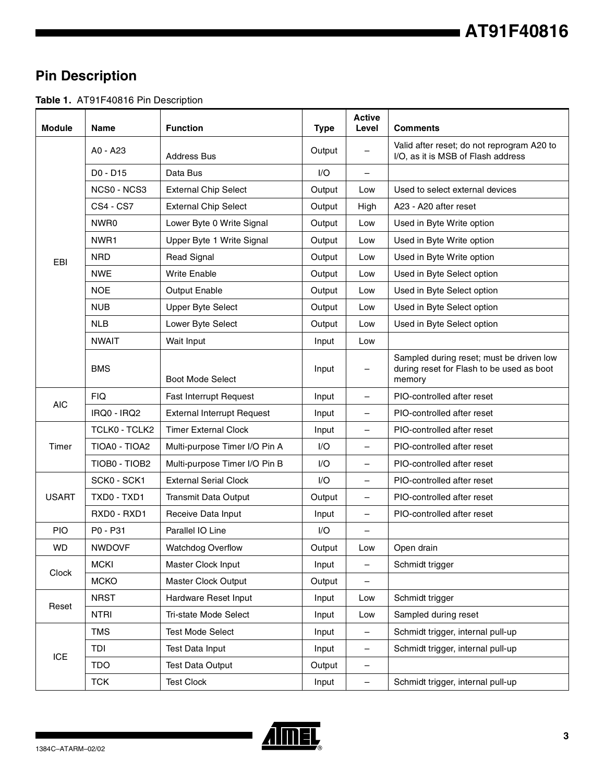### **Pin Description**

**Table 1.** AT91F40816 Pin Description

| <b>Module</b> | <b>Name</b>      | <b>Function</b>                   | <b>Type</b> | <b>Active</b><br>Level   | <b>Comments</b>                                                                                 |
|---------------|------------------|-----------------------------------|-------------|--------------------------|-------------------------------------------------------------------------------------------------|
|               | A0 - A23         | <b>Address Bus</b>                | Output      |                          | Valid after reset; do not reprogram A20 to<br>I/O, as it is MSB of Flash address                |
|               | D0 - D15         | Data Bus                          | I/O         | $\qquad \qquad -$        |                                                                                                 |
|               | NCS0 - NCS3      | <b>External Chip Select</b>       | Output      | Low                      | Used to select external devices                                                                 |
|               | <b>CS4 - CS7</b> | <b>External Chip Select</b>       | Output      | High                     | A23 - A20 after reset                                                                           |
|               | NWR0             | Lower Byte 0 Write Signal         | Output      | Low                      | Used in Byte Write option                                                                       |
|               | NWR <sub>1</sub> | Upper Byte 1 Write Signal         | Output      | Low                      | Used in Byte Write option                                                                       |
| EBI           | <b>NRD</b>       | <b>Read Signal</b>                | Output      | Low                      | Used in Byte Write option                                                                       |
|               | <b>NWE</b>       | <b>Write Enable</b>               | Output      | Low                      | Used in Byte Select option                                                                      |
|               | <b>NOE</b>       | <b>Output Enable</b>              | Output      | Low                      | Used in Byte Select option                                                                      |
|               | <b>NUB</b>       | <b>Upper Byte Select</b>          | Output      | Low                      | Used in Byte Select option                                                                      |
|               | <b>NLB</b>       | Lower Byte Select                 | Output      | Low                      | Used in Byte Select option                                                                      |
|               | <b>NWAIT</b>     | Wait Input                        | Input       | Low                      |                                                                                                 |
|               | <b>BMS</b>       | <b>Boot Mode Select</b>           | Input       | $\overline{\phantom{m}}$ | Sampled during reset; must be driven low<br>during reset for Flash to be used as boot<br>memory |
|               | <b>FIQ</b>       | Fast Interrupt Request            | Input       |                          | PIO-controlled after reset                                                                      |
| <b>AIC</b>    | IRQ0 - IRQ2      | <b>External Interrupt Request</b> | Input       | —                        | PIO-controlled after reset                                                                      |
|               | TCLK0 - TCLK2    | <b>Timer External Clock</b>       | Input       |                          | PIO-controlled after reset                                                                      |
| Timer         | TIOA0 - TIOA2    | Multi-purpose Timer I/O Pin A     | 1/O         | $\qquad \qquad -$        | PIO-controlled after reset                                                                      |
|               | TIOB0 - TIOB2    | Multi-purpose Timer I/O Pin B     | I/O         | $\overline{\phantom{m}}$ | PIO-controlled after reset                                                                      |
|               | SCK0 - SCK1      | <b>External Serial Clock</b>      | I/O         | $\overline{\phantom{m}}$ | PIO-controlled after reset                                                                      |
| <b>USART</b>  | TXD0 - TXD1      | <b>Transmit Data Output</b>       | Output      | $\qquad \qquad -$        | PIO-controlled after reset                                                                      |
|               | RXD0 - RXD1      | Receive Data Input                | Input       |                          | PIO-controlled after reset                                                                      |
| <b>PIO</b>    | P0 - P31         | Parallel IO Line                  | I/O         |                          |                                                                                                 |
| <b>WD</b>     | <b>NWDOVF</b>    | <b>Watchdog Overflow</b>          | Output      | Low                      | Open drain                                                                                      |
|               | <b>MCKI</b>      | Master Clock Input                | Input       | $\overline{\phantom{m}}$ | Schmidt trigger                                                                                 |
| Clock         | <b>MCKO</b>      | Master Clock Output               | Output      | $\qquad \qquad -$        |                                                                                                 |
|               | <b>NRST</b>      | Hardware Reset Input              | Input       | Low                      | Schmidt trigger                                                                                 |
| Reset         | <b>NTRI</b>      | Tri-state Mode Select             | Input       | Low                      | Sampled during reset                                                                            |
|               | <b>TMS</b>       | <b>Test Mode Select</b>           | Input       |                          | Schmidt trigger, internal pull-up                                                               |
|               | TDI              | <b>Test Data Input</b>            | Input       | $\qquad \qquad -$        | Schmidt trigger, internal pull-up                                                               |
| <b>ICE</b>    | <b>TDO</b>       | <b>Test Data Output</b>           | Output      | $\overline{\phantom{a}}$ |                                                                                                 |
|               | <b>TCK</b>       | <b>Test Clock</b>                 | Input       | $\overline{\phantom{m}}$ | Schmidt trigger, internal pull-up                                                               |

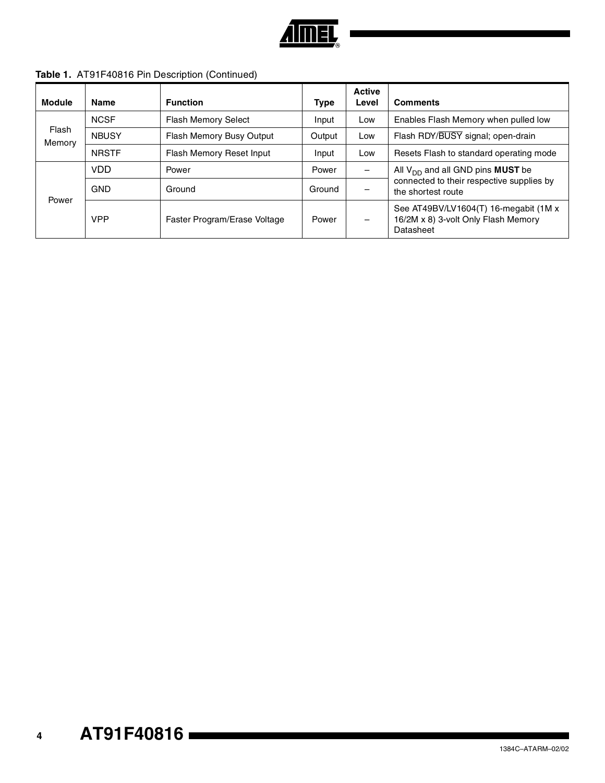

| Table 1. AT91F40816 Pin Description (Continued) |
|-------------------------------------------------|
|-------------------------------------------------|

| Module          | <b>Name</b>  | <b>Function</b>              | <b>Type</b> | <b>Active</b><br>Level   | <b>Comments</b>                                                                           |
|-----------------|--------------|------------------------------|-------------|--------------------------|-------------------------------------------------------------------------------------------|
| Flash<br>Memory | <b>NCSF</b>  | <b>Flash Memory Select</b>   | Input       | Low                      | Enables Flash Memory when pulled low                                                      |
|                 | <b>NBUSY</b> | Flash Memory Busy Output     | Output      | Low                      | Flash RDY/BUSY signal; open-drain                                                         |
|                 | <b>NRSTF</b> | Flash Memory Reset Input     | Input       | Low                      | Resets Flash to standard operating mode                                                   |
| Power           | <b>VDD</b>   | Power                        | Power       |                          | All $V_{DD}$ and all GND pins <b>MUST</b> be                                              |
|                 | <b>GND</b>   | Ground                       | Ground      |                          | connected to their respective supplies by<br>the shortest route                           |
|                 | <b>VPP</b>   | Faster Program/Erase Voltage | Power       | $\overline{\phantom{m}}$ | See AT49BV/LV1604(T) 16-megabit (1M x<br>16/2M x 8) 3-volt Only Flash Memory<br>Datasheet |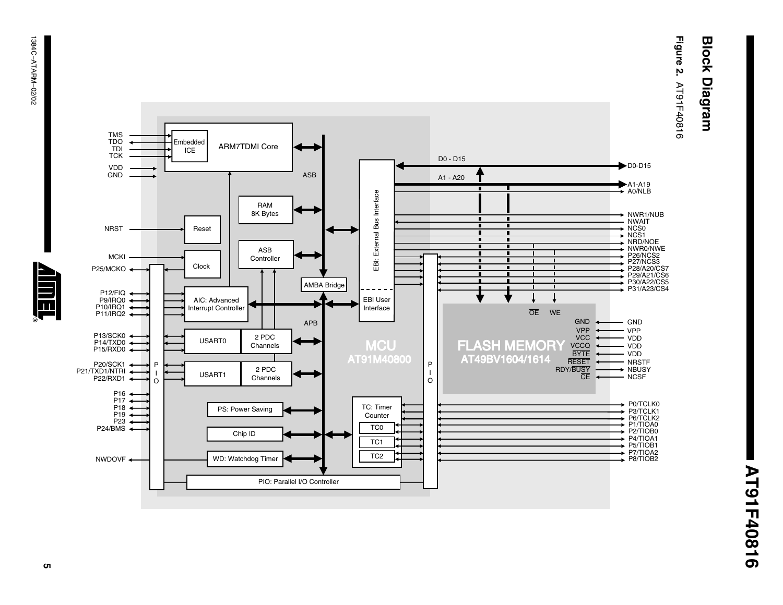# **Block Diagram Block Diagram**

**Figure 2. AT91F40816** AT91F40816



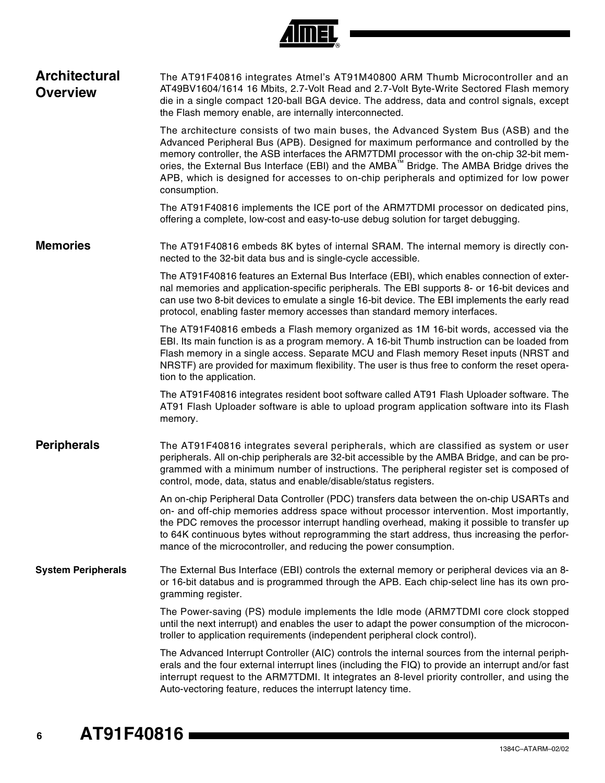|  | Đ |
|--|---|

| <b>Architectural</b><br><b>Overview</b> | The AT91F40816 integrates Atmel's AT91M40800 ARM Thumb Microcontroller and an<br>AT49BV1604/1614 16 Mbits, 2.7-Volt Read and 2.7-Volt Byte-Write Sectored Flash memory<br>die in a single compact 120-ball BGA device. The address, data and control signals, except<br>the Flash memory enable, are internally interconnected.                                                                                                                                                            |
|-----------------------------------------|--------------------------------------------------------------------------------------------------------------------------------------------------------------------------------------------------------------------------------------------------------------------------------------------------------------------------------------------------------------------------------------------------------------------------------------------------------------------------------------------|
|                                         | The architecture consists of two main buses, the Advanced System Bus (ASB) and the<br>Advanced Peripheral Bus (APB). Designed for maximum performance and controlled by the<br>memory controller, the ASB interfaces the ARM7TDMI processor with the on-chip 32-bit mem-<br>ories, the External Bus Interface (EBI) and the AMBA <sup>™</sup> Bridge. The AMBA Bridge drives the<br>APB, which is designed for accesses to on-chip peripherals and optimized for low power<br>consumption. |
|                                         | The AT91F40816 implements the ICE port of the ARM7TDMI processor on dedicated pins,<br>offering a complete, low-cost and easy-to-use debug solution for target debugging.                                                                                                                                                                                                                                                                                                                  |
| <b>Memories</b>                         | The AT91F40816 embeds 8K bytes of internal SRAM. The internal memory is directly con-<br>nected to the 32-bit data bus and is single-cycle accessible.                                                                                                                                                                                                                                                                                                                                     |
|                                         | The AT91F40816 features an External Bus Interface (EBI), which enables connection of exter-<br>nal memories and application-specific peripherals. The EBI supports 8- or 16-bit devices and<br>can use two 8-bit devices to emulate a single 16-bit device. The EBI implements the early read<br>protocol, enabling faster memory accesses than standard memory interfaces.                                                                                                                |
|                                         | The AT91F40816 embeds a Flash memory organized as 1M 16-bit words, accessed via the<br>EBI. Its main function is as a program memory. A 16-bit Thumb instruction can be loaded from<br>Flash memory in a single access. Separate MCU and Flash memory Reset inputs (NRST and<br>NRSTF) are provided for maximum flexibility. The user is thus free to conform the reset opera-<br>tion to the application.                                                                                 |
|                                         | The AT91F40816 integrates resident boot software called AT91 Flash Uploader software. The<br>AT91 Flash Uploader software is able to upload program application software into its Flash<br>memory.                                                                                                                                                                                                                                                                                         |
| <b>Peripherals</b>                      | The AT91F40816 integrates several peripherals, which are classified as system or user<br>peripherals. All on-chip peripherals are 32-bit accessible by the AMBA Bridge, and can be pro-<br>grammed with a minimum number of instructions. The peripheral register set is composed of<br>control, mode, data, status and enable/disable/status registers.                                                                                                                                   |
|                                         | An on-chip Peripheral Data Controller (PDC) transfers data between the on-chip USARTs and<br>on- and off-chip memories address space without processor intervention. Most importantly,<br>the PDC removes the processor interrupt handling overhead, making it possible to transfer up<br>to 64K continuous bytes without reprogramming the start address, thus increasing the perfor-<br>mance of the microcontroller, and reducing the power consumption.                                |
| <b>System Peripherals</b>               | The External Bus Interface (EBI) controls the external memory or peripheral devices via an 8-<br>or 16-bit databus and is programmed through the APB. Each chip-select line has its own pro-<br>gramming register.                                                                                                                                                                                                                                                                         |
|                                         | The Power-saving (PS) module implements the Idle mode (ARM7TDMI core clock stopped<br>until the next interrupt) and enables the user to adapt the power consumption of the microcon-<br>troller to application requirements (independent peripheral clock control).                                                                                                                                                                                                                        |
|                                         | The Advanced Interrupt Controller (AIC) controls the internal sources from the internal periph-<br>erals and the four external interrupt lines (including the FIQ) to provide an interrupt and/or fast<br>interrupt request to the ARM7TDMI. It integrates an 8-level priority controller, and using the<br>Auto-vectoring feature, reduces the interrupt latency time.                                                                                                                    |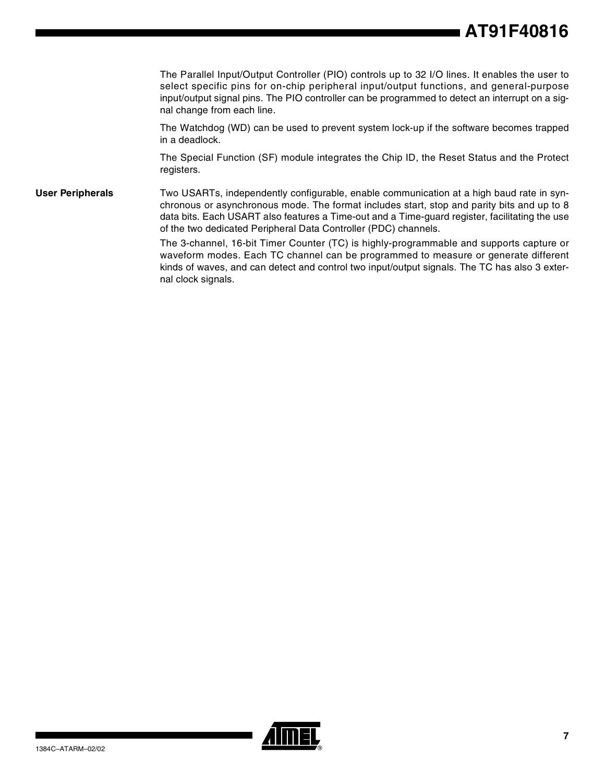## **AT91F40816**

The Parallel Input/Output Controller (PIO) controls up to 32 I/O lines. It enables the user to select specific pins for on-chip peripheral input/output functions, and general-purpose input/output signal pins. The PIO controller can be programmed to detect an interrupt on a signal change from each line.

The Watchdog (WD) can be used to prevent system lock-up if the software becomes trapped in a deadlock.

The Special Function (SF) module integrates the Chip ID, the Reset Status and the Protect registers.

**User Peripherals** Two USARTs, independently configurable, enable communication at a high baud rate in synchronous or asynchronous mode. The format includes start, stop and parity bits and up to 8 data bits. Each USART also features a Time-out and a Time-guard register, facilitating the use of the two dedicated Peripheral Data Controller (PDC) channels.

> The 3-channel, 16-bit Timer Counter (TC) is highly-programmable and supports capture or waveform modes. Each TC channel can be programmed to measure or generate different kinds of waves, and can detect and control two input/output signals. The TC has also 3 external clock signals.

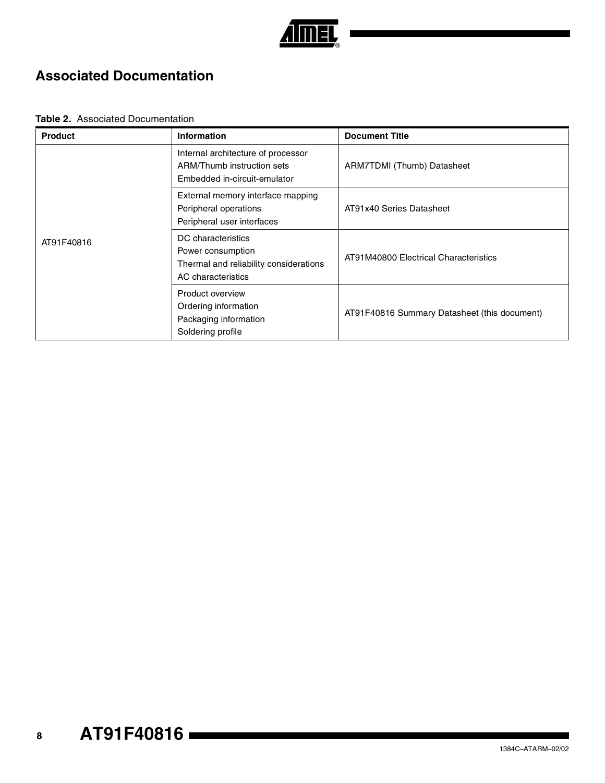

### **Associated Documentation**

#### **Table 2.** Associated Documentation

| <b>Product</b> | <b>Information</b>                                                                                      | <b>Document Title</b>                        |
|----------------|---------------------------------------------------------------------------------------------------------|----------------------------------------------|
|                | Internal architecture of processor<br>ARM/Thumb instruction sets<br>Embedded in-circuit-emulator        | ARM7TDMI (Thumb) Datasheet                   |
|                | External memory interface mapping<br>Peripheral operations<br>Peripheral user interfaces                | AT91x40 Series Datasheet                     |
| AT91F40816     | DC characteristics<br>Power consumption<br>Thermal and reliability considerations<br>AC characteristics | AT91M40800 Electrical Characteristics        |
|                | Product overview<br>Ordering information<br>Packaging information<br>Soldering profile                  | AT91F40816 Summary Datasheet (this document) |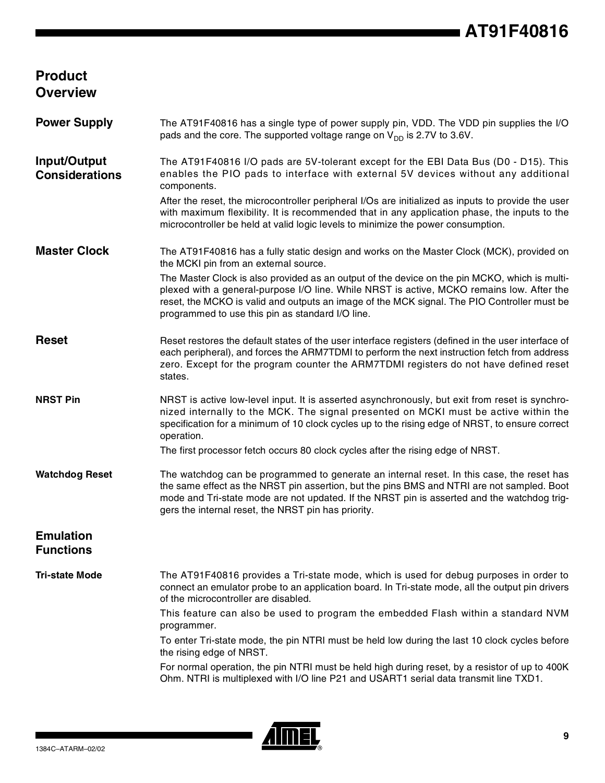### **Product Overview**

| <b>Power Supply</b>                   | The AT91F40816 has a single type of power supply pin, VDD. The VDD pin supplies the I/O<br>pads and the core. The supported voltage range on $V_{DD}$ is 2.7V to 3.6V.                                                                                                                                                                        |
|---------------------------------------|-----------------------------------------------------------------------------------------------------------------------------------------------------------------------------------------------------------------------------------------------------------------------------------------------------------------------------------------------|
| Input/Output<br><b>Considerations</b> | The AT91F40816 I/O pads are 5V-tolerant except for the EBI Data Bus (D0 - D15). This<br>enables the PIO pads to interface with external 5V devices without any additional<br>components.                                                                                                                                                      |
|                                       | After the reset, the microcontroller peripheral I/Os are initialized as inputs to provide the user<br>with maximum flexibility. It is recommended that in any application phase, the inputs to the<br>microcontroller be held at valid logic levels to minimize the power consumption.                                                        |
| <b>Master Clock</b>                   | The AT91F40816 has a fully static design and works on the Master Clock (MCK), provided on<br>the MCKI pin from an external source.                                                                                                                                                                                                            |
|                                       | The Master Clock is also provided as an output of the device on the pin MCKO, which is multi-<br>plexed with a general-purpose I/O line. While NRST is active, MCKO remains low. After the<br>reset, the MCKO is valid and outputs an image of the MCK signal. The PIO Controller must be<br>programmed to use this pin as standard I/O line. |
| <b>Reset</b>                          | Reset restores the default states of the user interface registers (defined in the user interface of<br>each peripheral), and forces the ARM7TDMI to perform the next instruction fetch from address<br>zero. Except for the program counter the ARM7TDMI registers do not have defined reset<br>states.                                       |
| <b>NRST Pin</b>                       | NRST is active low-level input. It is asserted asynchronously, but exit from reset is synchro-<br>nized internally to the MCK. The signal presented on MCKI must be active within the<br>specification for a minimum of 10 clock cycles up to the rising edge of NRST, to ensure correct<br>operation.                                        |
|                                       | The first processor fetch occurs 80 clock cycles after the rising edge of NRST.                                                                                                                                                                                                                                                               |
| <b>Watchdog Reset</b>                 | The watchdog can be programmed to generate an internal reset. In this case, the reset has<br>the same effect as the NRST pin assertion, but the pins BMS and NTRI are not sampled. Boot<br>mode and Tri-state mode are not updated. If the NRST pin is asserted and the watchdog trig-<br>gers the internal reset, the NRST pin has priority. |
| <b>Emulation</b><br><b>Functions</b>  |                                                                                                                                                                                                                                                                                                                                               |
| <b>Tri-state Mode</b>                 | The AT91F40816 provides a Tri-state mode, which is used for debug purposes in order to<br>connect an emulator probe to an application board. In Tri-state mode, all the output pin drivers<br>of the microcontroller are disabled.                                                                                                            |
|                                       | This feature can also be used to program the embedded Flash within a standard NVM<br>programmer.                                                                                                                                                                                                                                              |
|                                       | To enter Tri-state mode, the pin NTRI must be held low during the last 10 clock cycles before<br>the rising edge of NRST.                                                                                                                                                                                                                     |
|                                       | For normal operation, the pin NTRI must be held high during reset, by a resistor of up to 400K<br>Ohm. NTRI is multiplexed with I/O line P21 and USART1 serial data transmit line TXD1.                                                                                                                                                       |

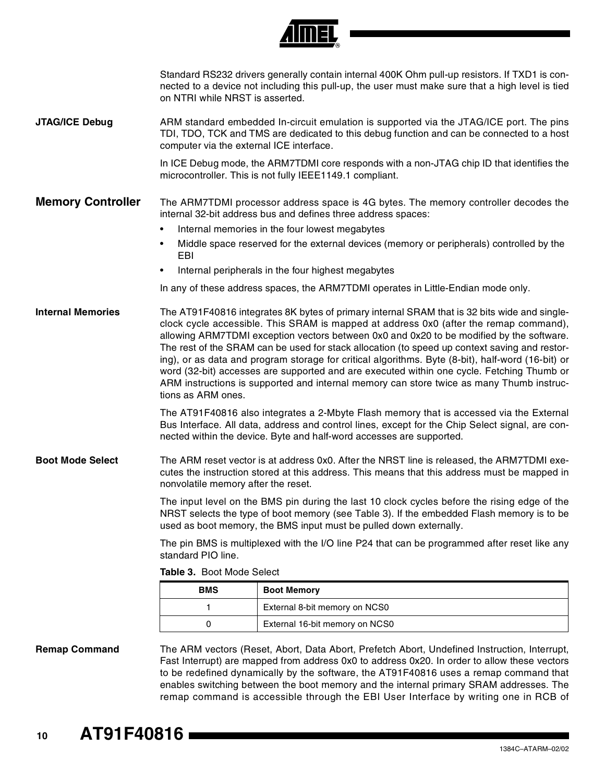|                          |                                          | <u>AIIIIEL</u>                                                                                                                                                                                                                                                                                                                                                                                                                                                                                                                                                                                                                                                                   |
|--------------------------|------------------------------------------|----------------------------------------------------------------------------------------------------------------------------------------------------------------------------------------------------------------------------------------------------------------------------------------------------------------------------------------------------------------------------------------------------------------------------------------------------------------------------------------------------------------------------------------------------------------------------------------------------------------------------------------------------------------------------------|
|                          | on NTRI while NRST is asserted.          | Standard RS232 drivers generally contain internal 400K Ohm pull-up resistors. If TXD1 is con-<br>nected to a device not including this pull-up, the user must make sure that a high level is tied                                                                                                                                                                                                                                                                                                                                                                                                                                                                                |
| <b>JTAG/ICE Debug</b>    | computer via the external ICE interface. | ARM standard embedded In-circuit emulation is supported via the JTAG/ICE port. The pins<br>TDI, TDO, TCK and TMS are dedicated to this debug function and can be connected to a host                                                                                                                                                                                                                                                                                                                                                                                                                                                                                             |
|                          |                                          | In ICE Debug mode, the ARM7TDMI core responds with a non-JTAG chip ID that identifies the<br>microcontroller. This is not fully IEEE1149.1 compliant.                                                                                                                                                                                                                                                                                                                                                                                                                                                                                                                            |
| <b>Memory Controller</b> |                                          | The ARM7TDMI processor address space is 4G bytes. The memory controller decodes the<br>internal 32-bit address bus and defines three address spaces:                                                                                                                                                                                                                                                                                                                                                                                                                                                                                                                             |
|                          | $\bullet$                                | Internal memories in the four lowest megabytes                                                                                                                                                                                                                                                                                                                                                                                                                                                                                                                                                                                                                                   |
|                          | EBI                                      | Middle space reserved for the external devices (memory or peripherals) controlled by the                                                                                                                                                                                                                                                                                                                                                                                                                                                                                                                                                                                         |
|                          |                                          | Internal peripherals in the four highest megabytes                                                                                                                                                                                                                                                                                                                                                                                                                                                                                                                                                                                                                               |
|                          |                                          | In any of these address spaces, the ARM7TDMI operates in Little-Endian mode only.                                                                                                                                                                                                                                                                                                                                                                                                                                                                                                                                                                                                |
| <b>Internal Memories</b> | tions as ARM ones.                       | The AT91F40816 integrates 8K bytes of primary internal SRAM that is 32 bits wide and single-<br>clock cycle accessible. This SRAM is mapped at address 0x0 (after the remap command),<br>allowing ARM7TDMI exception vectors between 0x0 and 0x20 to be modified by the software.<br>The rest of the SRAM can be used for stack allocation (to speed up context saving and restor-<br>ing), or as data and program storage for critical algorithms. Byte (8-bit), half-word (16-bit) or<br>word (32-bit) accesses are supported and are executed within one cycle. Fetching Thumb or<br>ARM instructions is supported and internal memory can store twice as many Thumb instruc- |
|                          |                                          | The AT91F40816 also integrates a 2-Mbyte Flash memory that is accessed via the External<br>Bus Interface. All data, address and control lines, except for the Chip Select signal, are con-<br>nected within the device. Byte and half-word accesses are supported.                                                                                                                                                                                                                                                                                                                                                                                                               |
| <b>Boot Mode Select</b>  | nonvolatile memory after the reset.      | The ARM reset vector is at address 0x0. After the NRST line is released, the ARM7TDMI exe-<br>cutes the instruction stored at this address. This means that this address must be mapped in                                                                                                                                                                                                                                                                                                                                                                                                                                                                                       |
|                          |                                          | The input level on the BMS pin during the last 10 clock cycles before the rising edge of the<br>NRST selects the type of boot memory (see Table 3). If the embedded Flash memory is to be<br>used as boot memory, the BMS input must be pulled down externally.                                                                                                                                                                                                                                                                                                                                                                                                                  |
|                          | standard PIO line.                       | The pin BMS is multiplexed with the I/O line P24 that can be programmed after reset like any                                                                                                                                                                                                                                                                                                                                                                                                                                                                                                                                                                                     |
|                          | Table 3. Boot Mode Select                |                                                                                                                                                                                                                                                                                                                                                                                                                                                                                                                                                                                                                                                                                  |
|                          | <b>BMS</b>                               | <b>Boot Memory</b>                                                                                                                                                                                                                                                                                                                                                                                                                                                                                                                                                                                                                                                               |
|                          | 1                                        | External 8-bit memory on NCS0                                                                                                                                                                                                                                                                                                                                                                                                                                                                                                                                                                                                                                                    |
|                          | 0                                        | External 16-bit memory on NCS0                                                                                                                                                                                                                                                                                                                                                                                                                                                                                                                                                                                                                                                   |
| <b>Remap Command</b>     |                                          | The ARM vectors (Reset, Abort, Data Abort, Prefetch Abort, Undefined Instruction, Interrupt,<br>Fast Interrupt) are mapped from address 0x0 to address 0x20. In order to allow these vectors<br>to be redefined dynamically by the software, the AT91F40816 uses a remap command that<br>enables switching between the boot memory and the internal primary SRAM addresses. The<br>remap command is accessible through the EBI User Interface by writing one in RCB of                                                                                                                                                                                                           |

*Amer*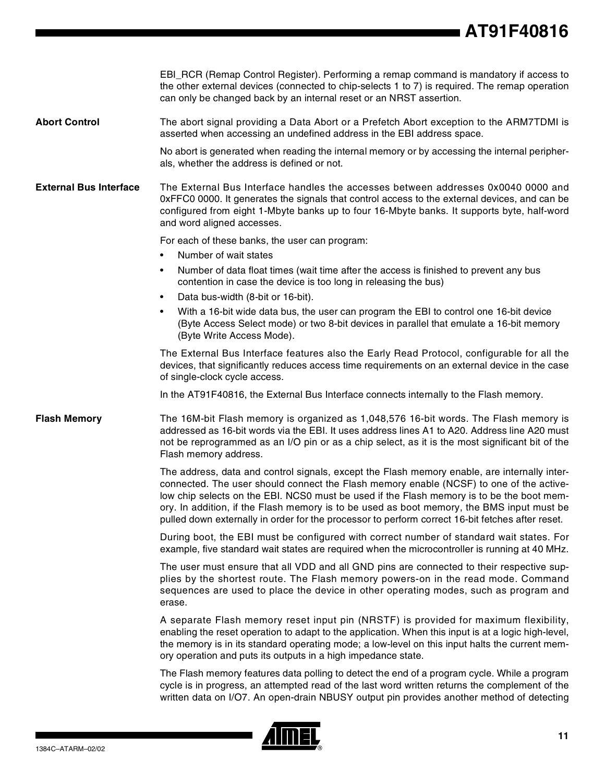## **AT91F40816**

|                               | EBI_RCR (Remap Control Register). Performing a remap command is mandatory if access to<br>the other external devices (connected to chip-selects 1 to 7) is required. The remap operation<br>can only be changed back by an internal reset or an NRST assertion.                                                                                                                                                                                                                       |  |  |
|-------------------------------|---------------------------------------------------------------------------------------------------------------------------------------------------------------------------------------------------------------------------------------------------------------------------------------------------------------------------------------------------------------------------------------------------------------------------------------------------------------------------------------|--|--|
| <b>Abort Control</b>          | The abort signal providing a Data Abort or a Prefetch Abort exception to the ARM7TDMI is<br>asserted when accessing an undefined address in the EBI address space.                                                                                                                                                                                                                                                                                                                    |  |  |
|                               | No abort is generated when reading the internal memory or by accessing the internal peripher-<br>als, whether the address is defined or not.                                                                                                                                                                                                                                                                                                                                          |  |  |
| <b>External Bus Interface</b> | The External Bus Interface handles the accesses between addresses 0x0040 0000 and<br>0xFFC0 0000. It generates the signals that control access to the external devices, and can be<br>configured from eight 1-Mbyte banks up to four 16-Mbyte banks. It supports byte, half-word<br>and word aligned accesses.                                                                                                                                                                        |  |  |
|                               | For each of these banks, the user can program:                                                                                                                                                                                                                                                                                                                                                                                                                                        |  |  |
|                               | Number of wait states<br>٠                                                                                                                                                                                                                                                                                                                                                                                                                                                            |  |  |
|                               | Number of data float times (wait time after the access is finished to prevent any bus<br>$\bullet$<br>contention in case the device is too long in releasing the bus)                                                                                                                                                                                                                                                                                                                 |  |  |
|                               | Data bus-width (8-bit or 16-bit).<br>$\bullet$                                                                                                                                                                                                                                                                                                                                                                                                                                        |  |  |
|                               | With a 16-bit wide data bus, the user can program the EBI to control one 16-bit device<br>$\bullet$<br>(Byte Access Select mode) or two 8-bit devices in parallel that emulate a 16-bit memory<br>(Byte Write Access Mode).                                                                                                                                                                                                                                                           |  |  |
|                               | The External Bus Interface features also the Early Read Protocol, configurable for all the<br>devices, that significantly reduces access time requirements on an external device in the case<br>of single-clock cycle access.                                                                                                                                                                                                                                                         |  |  |
|                               | In the AT91F40816, the External Bus Interface connects internally to the Flash memory.                                                                                                                                                                                                                                                                                                                                                                                                |  |  |
| <b>Flash Memory</b>           | The 16M-bit Flash memory is organized as 1,048,576 16-bit words. The Flash memory is<br>addressed as 16-bit words via the EBI. It uses address lines A1 to A20. Address line A20 must<br>not be reprogrammed as an I/O pin or as a chip select, as it is the most significant bit of the<br>Flash memory address.                                                                                                                                                                     |  |  |
|                               | The address, data and control signals, except the Flash memory enable, are internally inter-<br>connected. The user should connect the Flash memory enable (NCSF) to one of the active-<br>low chip selects on the EBI. NCS0 must be used if the Flash memory is to be the boot mem-<br>ory. In addition, if the Flash memory is to be used as boot memory, the BMS input must be<br>pulled down externally in order for the processor to perform correct 16-bit fetches after reset. |  |  |
|                               | During boot, the EBI must be configured with correct number of standard wait states. For<br>example, five standard wait states are required when the microcontroller is running at 40 MHz.                                                                                                                                                                                                                                                                                            |  |  |
|                               | The user must ensure that all VDD and all GND pins are connected to their respective sup-<br>plies by the shortest route. The Flash memory powers-on in the read mode. Command<br>sequences are used to place the device in other operating modes, such as program and<br>erase.                                                                                                                                                                                                      |  |  |
|                               | A separate Flash memory reset input pin (NRSTF) is provided for maximum flexibility,<br>enabling the reset operation to adapt to the application. When this input is at a logic high-level,<br>the memory is in its standard operating mode; a low-level on this input halts the current mem-<br>ory operation and puts its outputs in a high impedance state.                                                                                                                        |  |  |
|                               | The Flash memory features data polling to detect the end of a program cycle. While a program<br>cycle is in progress, an attempted read of the last word written returns the complement of the<br>written data on I/O7. An open-drain NBUSY output pin provides another method of detecting                                                                                                                                                                                           |  |  |

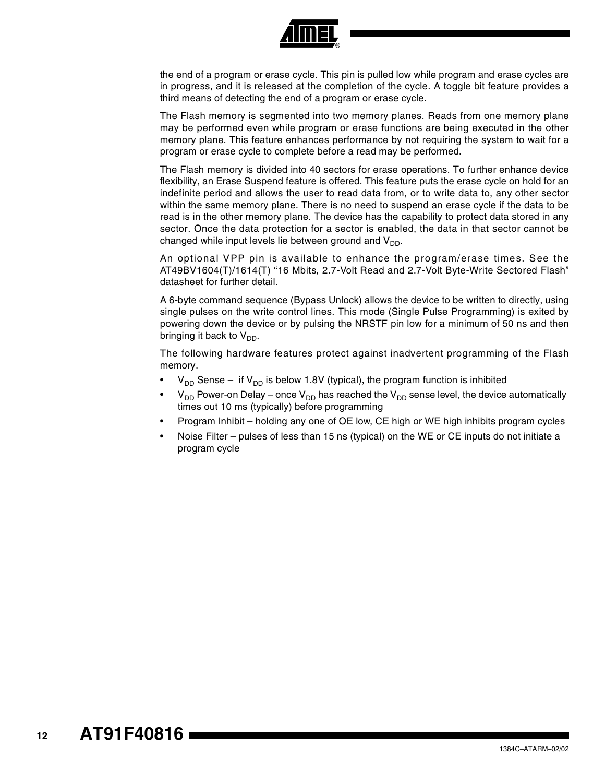

the end of a program or erase cycle. This pin is pulled low while program and erase cycles are in progress, and it is released at the completion of the cycle. A toggle bit feature provides a third means of detecting the end of a program or erase cycle.

The Flash memory is segmented into two memory planes. Reads from one memory plane may be performed even while program or erase functions are being executed in the other memory plane. This feature enhances performance by not requiring the system to wait for a program or erase cycle to complete before a read may be performed.

The Flash memory is divided into 40 sectors for erase operations. To further enhance device flexibility, an Erase Suspend feature is offered. This feature puts the erase cycle on hold for an indefinite period and allows the user to read data from, or to write data to, any other sector within the same memory plane. There is no need to suspend an erase cycle if the data to be read is in the other memory plane. The device has the capability to protect data stored in any sector. Once the data protection for a sector is enabled, the data in that sector cannot be changed while input levels lie between ground and  $V_{DD}$ .

An optional VPP pin is available to enhance the program/erase times. See the AT49BV1604(T)/1614(T) "16 Mbits, 2.7-Volt Read and 2.7-Volt Byte-Write Sectored Flash" datasheet for further detail.

A 6-byte command sequence (Bypass Unlock) allows the device to be written to directly, using single pulses on the write control lines. This mode (Single Pulse Programming) is exited by powering down the device or by pulsing the NRSTF pin low for a minimum of 50 ns and then bringing it back to  $V_{DD}$ .

The following hardware features protect against inadvertent programming of the Flash memory.

- $V_{DD}$  Sense if  $V_{DD}$  is below 1.8V (typical), the program function is inhibited
- $V_{DD}$  Power-on Delay once  $V_{DD}$  has reached the  $V_{DD}$  sense level, the device automatically times out 10 ms (typically) before programming
- Program Inhibit holding any one of OE low, CE high or WE high inhibits program cycles
- Noise Filter pulses of less than 15 ns (typical) on the WE or CE inputs do not initiate a program cycle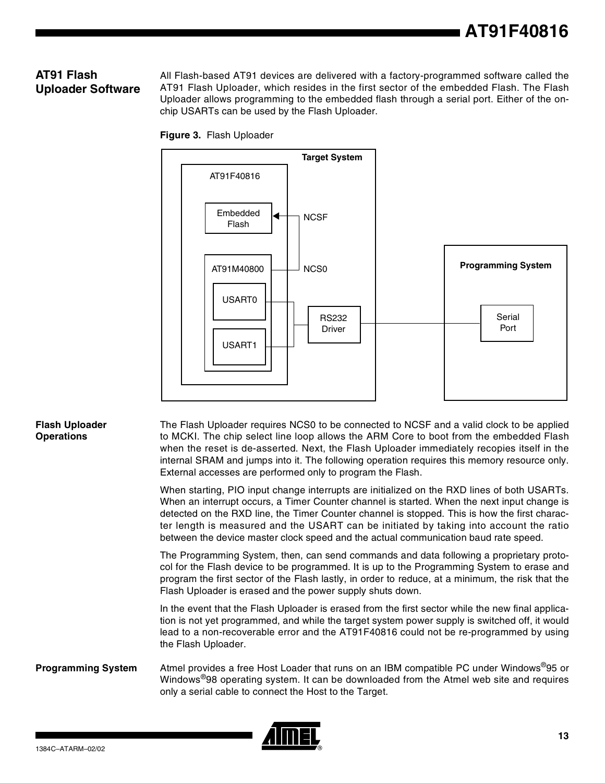### **AT91 Flash Uploader Software**

All Flash-based AT91 devices are delivered with a factory-programmed software called the AT91 Flash Uploader, which resides in the first sector of the embedded Flash. The Flash Uploader allows programming to the embedded flash through a serial port. Either of the onchip USARTs can be used by the Flash Uploader.





#### **Flash Uploader Operations**

The Flash Uploader requires NCS0 to be connected to NCSF and a valid clock to be applied to MCKI. The chip select line loop allows the ARM Core to boot from the embedded Flash when the reset is de-asserted. Next, the Flash Uploader immediately recopies itself in the internal SRAM and jumps into it. The following operation requires this memory resource only. External accesses are performed only to program the Flash.

When starting, PIO input change interrupts are initialized on the RXD lines of both USARTs. When an interrupt occurs, a Timer Counter channel is started. When the next input change is detected on the RXD line, the Timer Counter channel is stopped. This is how the first character length is measured and the USART can be initiated by taking into account the ratio between the device master clock speed and the actual communication baud rate speed.

The Programming System, then, can send commands and data following a proprietary protocol for the Flash device to be programmed. It is up to the Programming System to erase and program the first sector of the Flash lastly, in order to reduce, at a minimum, the risk that the Flash Uploader is erased and the power supply shuts down.

In the event that the Flash Uploader is erased from the first sector while the new final application is not yet programmed, and while the target system power supply is switched off, it would lead to a non-recoverable error and the AT91F40816 could not be re-programmed by using the Flash Uploader.

#### **Programming System** Atmel provides a free Host Loader that runs on an IBM compatible PC under Windows®95 or Windows®98 operating system. It can be downloaded from the Atmel web site and requires only a serial cable to connect the Host to the Target.

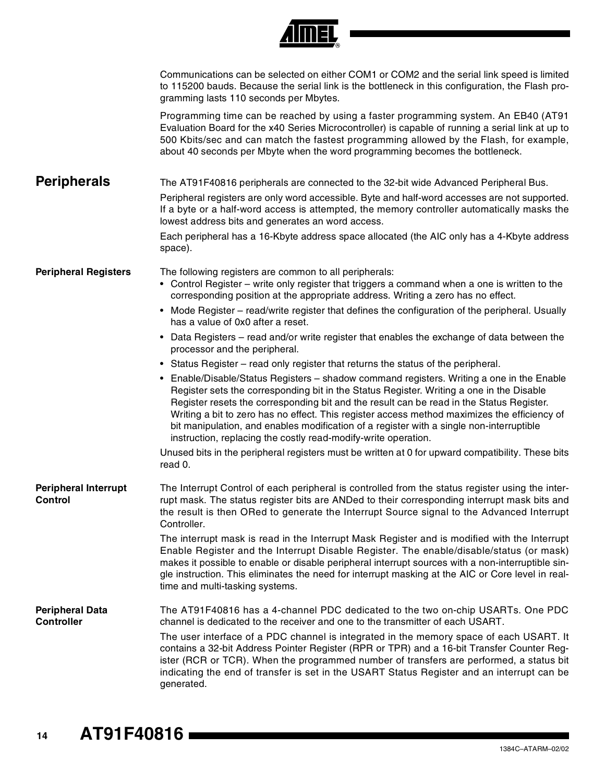|                                               | TINEL                                                                                                                                                                                                                                                                                                                                                                                                                                                                                                                                           |
|-----------------------------------------------|-------------------------------------------------------------------------------------------------------------------------------------------------------------------------------------------------------------------------------------------------------------------------------------------------------------------------------------------------------------------------------------------------------------------------------------------------------------------------------------------------------------------------------------------------|
|                                               | Communications can be selected on either COM1 or COM2 and the serial link speed is limited<br>to 115200 bauds. Because the serial link is the bottleneck in this configuration, the Flash pro-<br>gramming lasts 110 seconds per Mbytes.                                                                                                                                                                                                                                                                                                        |
|                                               | Programming time can be reached by using a faster programming system. An EB40 (AT91<br>Evaluation Board for the x40 Series Microcontroller) is capable of running a serial link at up to<br>500 Kbits/sec and can match the fastest programming allowed by the Flash, for example,<br>about 40 seconds per Mbyte when the word programming becomes the bottleneck.                                                                                                                                                                              |
| <b>Peripherals</b>                            | The AT91F40816 peripherals are connected to the 32-bit wide Advanced Peripheral Bus.                                                                                                                                                                                                                                                                                                                                                                                                                                                            |
|                                               | Peripheral registers are only word accessible. Byte and half-word accesses are not supported.<br>If a byte or a half-word access is attempted, the memory controller automatically masks the<br>lowest address bits and generates an word access.                                                                                                                                                                                                                                                                                               |
|                                               | Each peripheral has a 16-Kbyte address space allocated (the AIC only has a 4-Kbyte address<br>space).                                                                                                                                                                                                                                                                                                                                                                                                                                           |
| <b>Peripheral Registers</b>                   | The following registers are common to all peripherals:<br>• Control Register - write only register that triggers a command when a one is written to the<br>corresponding position at the appropriate address. Writing a zero has no effect.                                                                                                                                                                                                                                                                                                     |
|                                               | • Mode Register – read/write register that defines the configuration of the peripheral. Usually<br>has a value of 0x0 after a reset.                                                                                                                                                                                                                                                                                                                                                                                                            |
|                                               | • Data Registers – read and/or write register that enables the exchange of data between the<br>processor and the peripheral.                                                                                                                                                                                                                                                                                                                                                                                                                    |
|                                               | • Status Register – read only register that returns the status of the peripheral.                                                                                                                                                                                                                                                                                                                                                                                                                                                               |
|                                               | • Enable/Disable/Status Registers - shadow command registers. Writing a one in the Enable<br>Register sets the corresponding bit in the Status Register. Writing a one in the Disable<br>Register resets the corresponding bit and the result can be read in the Status Register.<br>Writing a bit to zero has no effect. This register access method maximizes the efficiency of<br>bit manipulation, and enables modification of a register with a single non-interruptible<br>instruction, replacing the costly read-modify-write operation. |
|                                               | Unused bits in the peripheral registers must be written at 0 for upward compatibility. These bits<br>read 0.                                                                                                                                                                                                                                                                                                                                                                                                                                    |
| <b>Peripheral Interrupt</b><br><b>Control</b> | The Interrupt Control of each peripheral is controlled from the status register using the inter-<br>rupt mask. The status register bits are ANDed to their corresponding interrupt mask bits and<br>the result is then ORed to generate the Interrupt Source signal to the Advanced Interrupt<br>Controller.                                                                                                                                                                                                                                    |
|                                               | The interrupt mask is read in the Interrupt Mask Register and is modified with the Interrupt<br>Enable Register and the Interrupt Disable Register. The enable/disable/status (or mask)<br>makes it possible to enable or disable peripheral interrupt sources with a non-interruptible sin-<br>gle instruction. This eliminates the need for interrupt masking at the AIC or Core level in real-<br>time and multi-tasking systems.                                                                                                            |
| <b>Peripheral Data</b><br><b>Controller</b>   | The AT91F40816 has a 4-channel PDC dedicated to the two on-chip USARTs. One PDC<br>channel is dedicated to the receiver and one to the transmitter of each USART.                                                                                                                                                                                                                                                                                                                                                                               |
|                                               | The user interface of a PDC channel is integrated in the memory space of each USART. It<br>contains a 32-bit Address Pointer Register (RPR or TPR) and a 16-bit Transfer Counter Reg-<br>ister (RCR or TCR). When the programmed number of transfers are performed, a status bit<br>indicating the end of transfer is set in the USART Status Register and an interrupt can be<br>generated.                                                                                                                                                    |

 $\overline{A}$   $\overline{A}$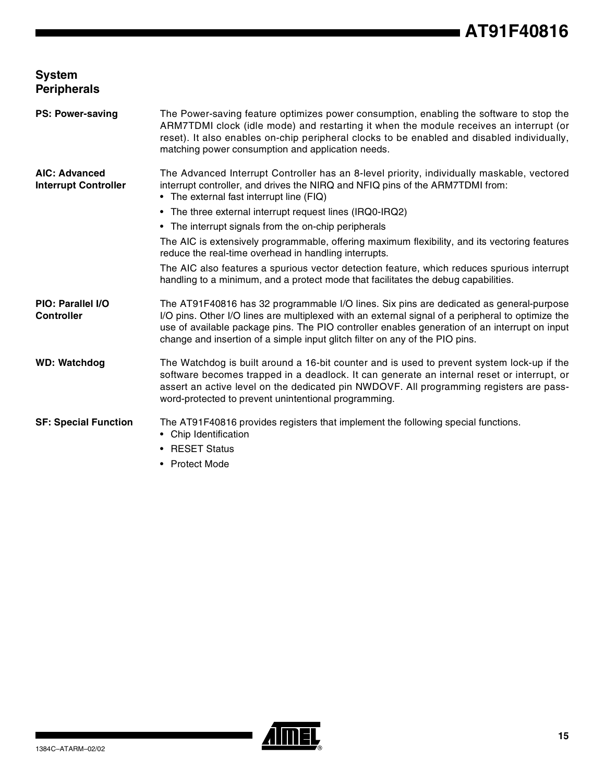### **System Peripherals**

| <b>PS: Power-saving</b>                             | The Power-saving feature optimizes power consumption, enabling the software to stop the<br>ARM7TDMI clock (idle mode) and restarting it when the module receives an interrupt (or<br>reset). It also enables on-chip peripheral clocks to be enabled and disabled individually,<br>matching power consumption and application needs.                                          |
|-----------------------------------------------------|-------------------------------------------------------------------------------------------------------------------------------------------------------------------------------------------------------------------------------------------------------------------------------------------------------------------------------------------------------------------------------|
| <b>AIC: Advanced</b><br><b>Interrupt Controller</b> | The Advanced Interrupt Controller has an 8-level priority, individually maskable, vectored<br>interrupt controller, and drives the NIRQ and NFIQ pins of the ARM7TDMI from:<br>• The external fast interrupt line (FIQ)                                                                                                                                                       |
|                                                     | • The three external interrupt request lines (IRQ0-IRQ2)                                                                                                                                                                                                                                                                                                                      |
|                                                     | • The interrupt signals from the on-chip peripherals                                                                                                                                                                                                                                                                                                                          |
|                                                     | The AIC is extensively programmable, offering maximum flexibility, and its vectoring features<br>reduce the real-time overhead in handling interrupts.                                                                                                                                                                                                                        |
|                                                     | The AIC also features a spurious vector detection feature, which reduces spurious interrupt<br>handling to a minimum, and a protect mode that facilitates the debug capabilities.                                                                                                                                                                                             |
| PIO: Parallel I/O<br><b>Controller</b>              | The AT91F40816 has 32 programmable I/O lines. Six pins are dedicated as general-purpose<br>I/O pins. Other I/O lines are multiplexed with an external signal of a peripheral to optimize the<br>use of available package pins. The PIO controller enables generation of an interrupt on input<br>change and insertion of a simple input glitch filter on any of the PIO pins. |
| <b>WD: Watchdog</b>                                 | The Watchdog is built around a 16-bit counter and is used to prevent system lock-up if the<br>software becomes trapped in a deadlock. It can generate an internal reset or interrupt, or<br>assert an active level on the dedicated pin NWDOVF. All programming registers are pass-<br>word-protected to prevent unintentional programming.                                   |
| <b>SF: Special Function</b>                         | The AT91F40816 provides registers that implement the following special functions.<br>• Chip Identification                                                                                                                                                                                                                                                                    |
|                                                     | <b>RESET Status</b><br>٠                                                                                                                                                                                                                                                                                                                                                      |
|                                                     | • Protect Mode                                                                                                                                                                                                                                                                                                                                                                |

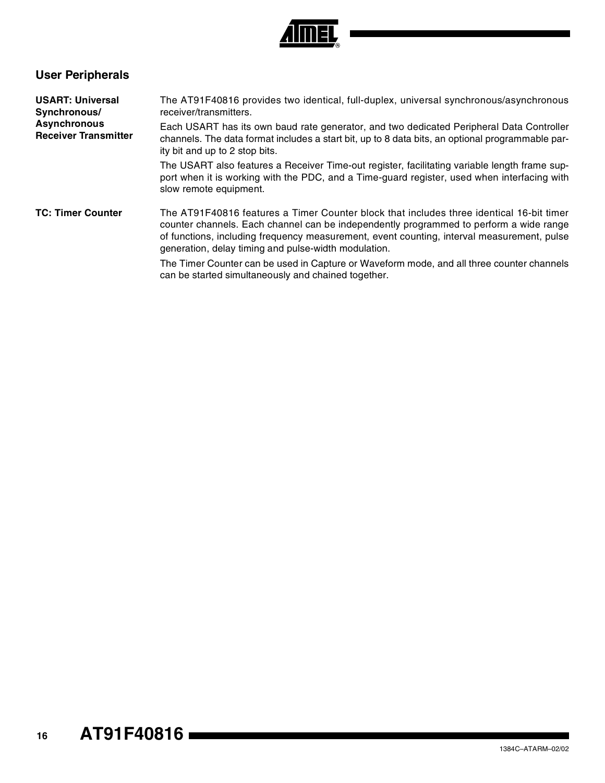

### **User Peripherals**

| <b>USART: Universal</b><br>Synchronous/            | The AT91F40816 provides two identical, full-duplex, universal synchronous/asynchronous<br>receiver/transmitters.                                                                                                                                                                                                                         |  |  |  |
|----------------------------------------------------|------------------------------------------------------------------------------------------------------------------------------------------------------------------------------------------------------------------------------------------------------------------------------------------------------------------------------------------|--|--|--|
| <b>Asynchronous</b><br><b>Receiver Transmitter</b> | Each USART has its own baud rate generator, and two dedicated Peripheral Data Controller<br>channels. The data format includes a start bit, up to 8 data bits, an optional programmable par-<br>ity bit and up to 2 stop bits.                                                                                                           |  |  |  |
|                                                    | The USART also features a Receiver Time-out register, facilitating variable length frame sup-<br>port when it is working with the PDC, and a Time-guard register, used when interfacing with<br>slow remote equipment.                                                                                                                   |  |  |  |
| <b>TC: Timer Counter</b>                           | The AT91F40816 features a Timer Counter block that includes three identical 16-bit timer<br>counter channels. Each channel can be independently programmed to perform a wide range<br>of functions, including frequency measurement, event counting, interval measurement, pulse<br>generation, delay timing and pulse-width modulation. |  |  |  |
|                                                    | The Timer Counter can be used in Capture or Waveform mode, and all three counter channels<br>can be started simultaneously and chained together.                                                                                                                                                                                         |  |  |  |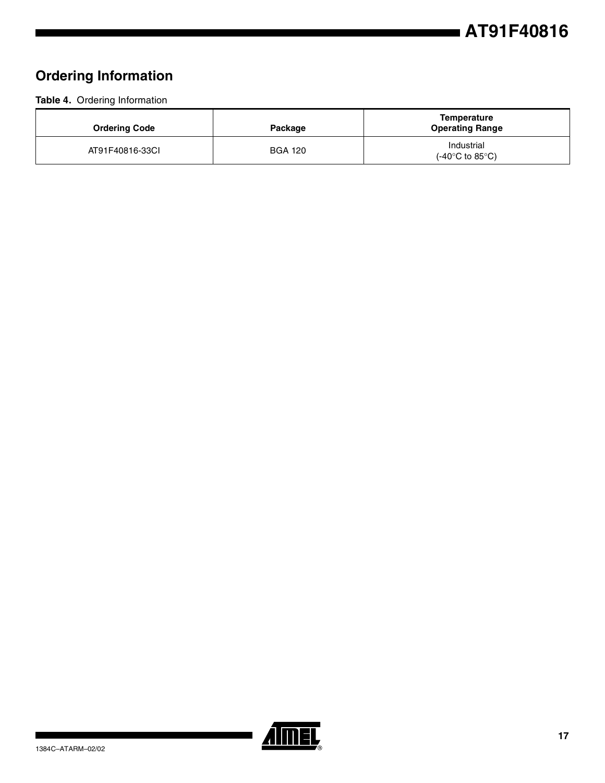### **Ordering Information**

**Table 4.** Ordering Information

| <b>Ordering Code</b> | Package        | <b>Temperature</b><br><b>Operating Range</b>       |
|----------------------|----------------|----------------------------------------------------|
| AT91F40816-33CI      | <b>BGA 120</b> | Industrial<br>$(-40^{\circ}$ C to 85 $^{\circ}$ C) |

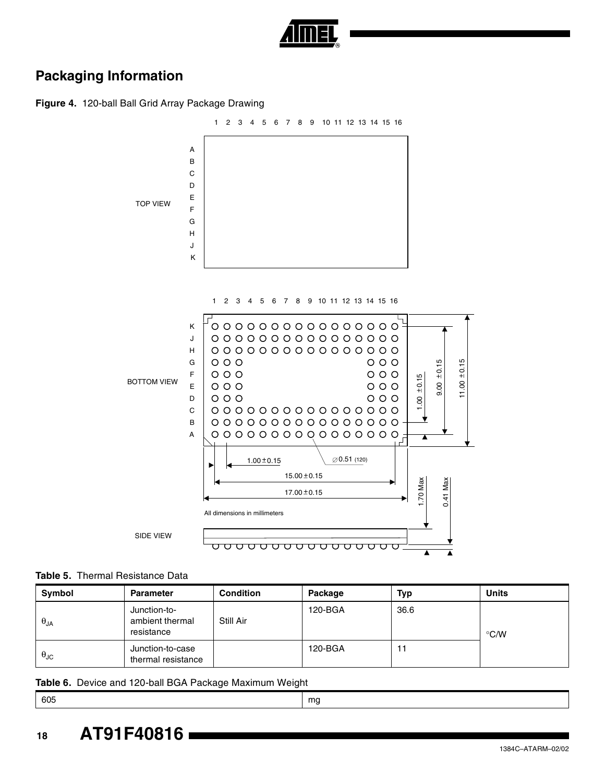

### **Packaging Information**

**Figure 4.** 120-ball Ball Grid Array Package Drawing



#### **Table 5.** Thermal Resistance Data

| Symbol               | <b>Parameter</b>                              | <b>Condition</b> | Package | Typ  | <b>Units</b>       |
|----------------------|-----------------------------------------------|------------------|---------|------|--------------------|
| $\theta_{JA}$        | Junction-to-<br>ambient thermal<br>resistance | Still Air        | 120-BGA | 36.6 | $\rm ^{\circ}$ C/W |
| $\theta_{\text{JC}}$ | Junction-to-case<br>thermal resistance        |                  | 120-BGA |      |                    |

#### **Table 6.** Device and 120-ball BGA Package Maximum Weight

605 mg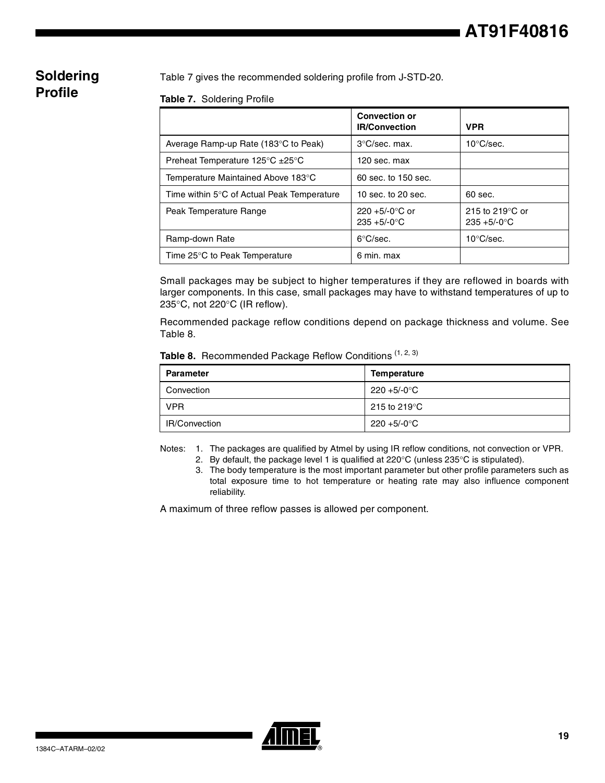### **Soldering Profile**

Table 7 gives the recommended soldering profile from J-STD-20.

#### **Table 7.** Soldering Profile

|                                                        | <b>Convection or</b><br><b>IR/Convection</b> | <b>VPR</b>                                   |
|--------------------------------------------------------|----------------------------------------------|----------------------------------------------|
| Average Ramp-up Rate (183°C to Peak)                   | $3^{\circ}$ C/sec. max.                      | $10^{\circ}$ C/sec.                          |
| Preheat Temperature $125^{\circ}$ C $\pm 25^{\circ}$ C | 120 sec. max                                 |                                              |
| Temperature Maintained Above 183°C                     | 60 sec. to 150 sec.                          |                                              |
| Time within 5°C of Actual Peak Temperature             | 10 sec. to $20$ sec.                         | $60$ sec.                                    |
| Peak Temperature Range                                 | $220 + 5/-0$ °C or<br>$235 + 5/-0$ °C        | 215 to 219 $\degree$ C or<br>$235 + 5/-0$ °C |
| Ramp-down Rate                                         | $6^{\circ}$ C/sec.                           | $10^{\circ}$ C/sec.                          |
| Time 25°C to Peak Temperature                          | 6 min. max                                   |                                              |

Small packages may be subject to higher temperatures if they are reflowed in boards with larger components. In this case, small packages may have to withstand temperatures of up to 235°C, not 220°C (IR reflow).

Recommended package reflow conditions depend on package thickness and volume. See Table 8.

|  | Table 8. Recommended Package Reflow Conditions (1, 2, 3) |  |  |  |  |
|--|----------------------------------------------------------|--|--|--|--|
|--|----------------------------------------------------------|--|--|--|--|

| <b>Parameter</b>     | <b>Temperature</b>      |
|----------------------|-------------------------|
| Convection           | 220 +5/-0°C             |
| <b>VPR</b>           | 215 to 219 $^{\circ}$ C |
| <b>IR/Convection</b> | 220 +5/-0°C             |

Notes: 1. The packages are qualified by Atmel by using IR reflow conditions, not convection or VPR.

- 2. By default, the package level 1 is qualified at  $220^{\circ}$ C (unless  $235^{\circ}$ C is stipulated).
- 3. The body temperature is the most important parameter but other profile parameters such as total exposure time to hot temperature or heating rate may also influence component reliability.

A maximum of three reflow passes is allowed per component.

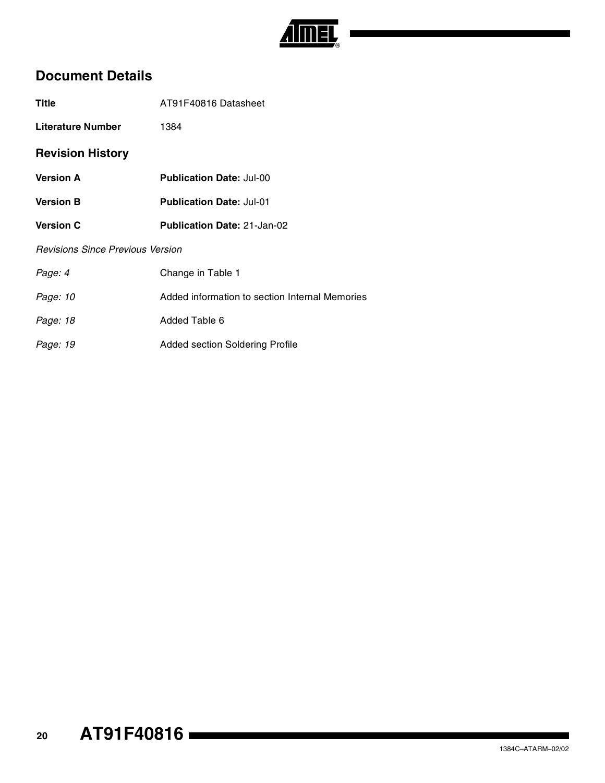

### **Document Details**

| <b>Title</b>                            | AT91F40816 Datasheet                           |  |  |
|-----------------------------------------|------------------------------------------------|--|--|
| Literature Number                       | 1384                                           |  |  |
| <b>Revision History</b>                 |                                                |  |  |
| <b>Version A</b>                        | <b>Publication Date: Jul-00</b>                |  |  |
| <b>Version B</b>                        | <b>Publication Date: Jul-01</b>                |  |  |
| <b>Version C</b>                        | <b>Publication Date: 21-Jan-02</b>             |  |  |
| <b>Revisions Since Previous Version</b> |                                                |  |  |
| Page: 4                                 | Change in Table 1                              |  |  |
| Page: 10                                | Added information to section Internal Memories |  |  |
| Page: 18                                | Added Table 6                                  |  |  |

Page: 19 **Added section Soldering Profile**